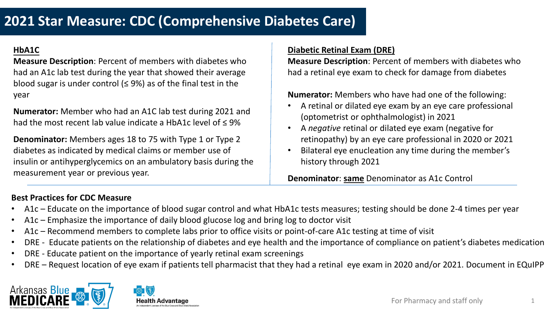# **2021 Star Measure: CDC (Comprehensive Diabetes Care)**

### **HbA1C**

**Measure Description**: Percent of members with diabetes who had an A1c lab test during the year that showed their average blood sugar is under control ( $\leq$  9%) as of the final test in the year

**Numerator:** Member who had an A1C lab test during 2021 and had the most recent lab value indicate a HbA1c level of ≤ 9%

**Denominator:** Members ages 18 to 75 with Type 1 or Type 2 diabetes as indicated by medical claims or member use of insulin or antihyperglycemics on an ambulatory basis during the measurement year or previous year.

#### **Diabetic Retinal Exam (DRE)**

**Measure Description**: Percent of members with diabetes who had a retinal eye exam to check for damage from diabetes

**Numerator:** Members who have had one of the following:

- A retinal or dilated eye exam by an eye care professional (optometrist or ophthalmologist) in 2021
- A *negative* retinal or dilated eye exam (negative for retinopathy) by an eye care professional in 2020 or 2021
- Bilateral eye enucleation any time during the member's history through 2021

**Denominator**: **same** Denominator as A1c Control

#### **Best Practices for CDC Measure**

- A1c Educate on the importance of blood sugar control and what HbA1c tests measures; testing should be done 2-4 times per year
- A1c Emphasize the importance of daily blood glucose log and bring log to doctor visit
- A1c Recommend members to complete labs prior to office visits or point-of-care A1c testing at time of visit
- DRE Educate patients on the relationship of diabetes and eye health and the importance of compliance on patient's diabetes medication
- DRE Educate patient on the importance of yearly retinal exam screenings
- DRE Request location of eye exam if patients tell pharmacist that they had a retinal eye exam in 2020 and/or 2021. Document in EQuIPP